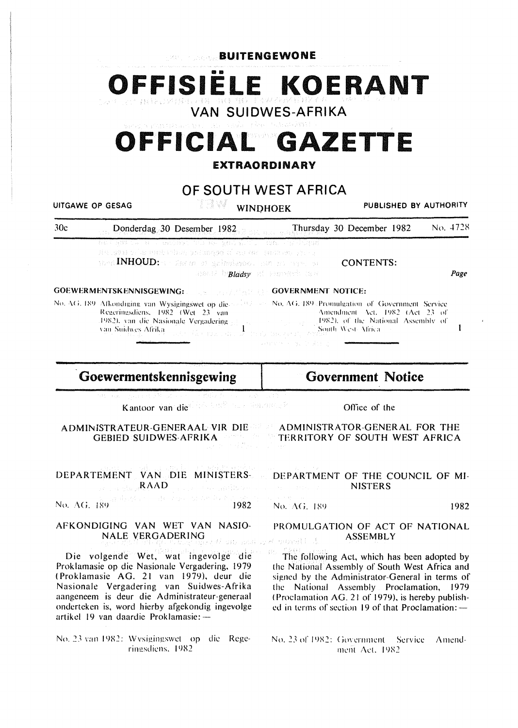**BUITENGEWONE** 

OFFISIELE KOERANT

**VAN SUIDWES-AFRIKA** 

# OFFICIAL GAZETTE

### **EXTRAORDINARY**

OF SOUTH WEST AFRICA

**UITGAWE OP GESAG** 

**WINDHOEK** 

PUBLISHED BY AUTHORITY

 $30<sub>c</sub>$ Thursday 30 December 1982 No. 4728 Donderdag 30 Desember 1982

s vedrolas, antikké (Čar AM BASS Mo Bros

Mond INHOUD: The sense of generatory, men and many of ansati bi**Bladsy** al temperature of

**GOEWERMENTSKENNISGEWING: FIFTING THE GOVERNMENT NOTICE:** 

No. AG, 189 Afkondiging van Wysigingswet op die and the No. AG, 189 Promulgation of Government Service Regeringsdiens, 1982 (Wet 23 van 1982), van die Nasionale Vergadering  $\mathbf{1}$ van Suidwes Afrika an Timbu ay

1982), of the National Assembly of South West-Africa. .<br>Talih Sak Kendi (178

Goewermentskennisgewing

**Government Notice** 

**CONTENTS:** 

Amendment Act, 1982 (Act 23 of

Kantoor van die 1944 volle van waarden se

ADMINISTRATEUR-GENERAAL VIR DIE 22 ADMINISTRATOR-GENERAL FOR THE GEBIED SUIDWES AFRIKA

DEPARTEMENT VAN DIE MINISTERS-**RAAD** a sa Porta di Baro

 $\label{eq:3.1} \mathrm{d} \chi_1 Q_{\mathrm{eff}}^{\mathrm{c}}(z) = -\mathrm{d} \Omega_{\mathrm{eff}}(z) Q_{\mathrm{eff}}(z) Q_{\mathrm{eff}}(z) Q_{\mathrm{eff}}(z)$ No. AG, 189 1982

AFKONDIGING VAN WET VAN NASIO-

**NALE VERGADERING** 

No. AG, 189

1982

Page

 $\mathbf{I}$ 

PROMULGATION OF ACT OF NATIONAL **ASSEMBLY** R. DONALL C.

Die volgende Wet, wat ingevolge die Proklamasie op die Nasionale Vergadering, 1979 (Proklamasie AG. 21 van 1979), deur die Nasionale Vergadering van Suidwes-Afrika aangeneem is deur die Administrateur-generaal onderteken is, word hierby afgekondig ingevolge artikel 19 van daardie Proklamasie: --

No. 23 van 1982: Wysigingswet op die Regeringsdiens, 1982

The following Act, which has been adopted by the National Assembly of South West Africa and signed by the Administrator-General in terms of the National Assembly Proclamation, 1979 (Proclamation AG. 21 of 1979), is hereby published in terms of section 19 of that Proclamation: -

No. 23 of 1982: Government Service Amendment Act, 1982

Office of the

DEPARTMENT OF THE COUNCIL OF MI-

**NISTERS**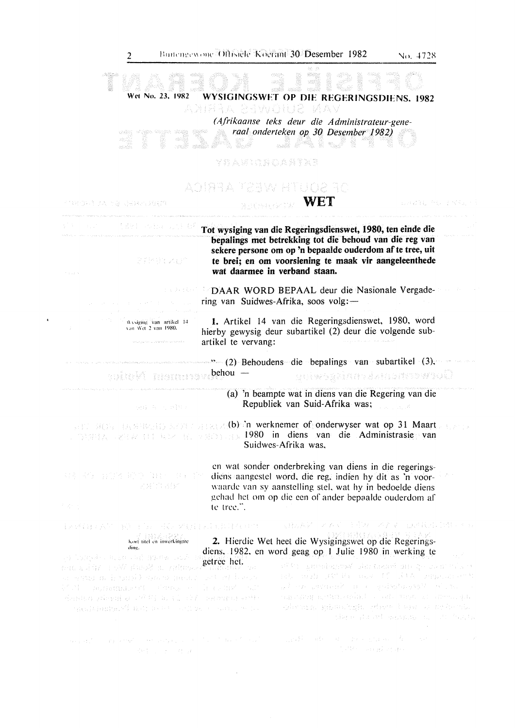| 2                                                                                                                                                  |                                                                                                                                                                                                                                                       | Buttengewone Offisiele Koerant 30 Desember 1982                                                                                                                                                                                                                                                                                                 | No. 4728                                                                                |
|----------------------------------------------------------------------------------------------------------------------------------------------------|-------------------------------------------------------------------------------------------------------------------------------------------------------------------------------------------------------------------------------------------------------|-------------------------------------------------------------------------------------------------------------------------------------------------------------------------------------------------------------------------------------------------------------------------------------------------------------------------------------------------|-----------------------------------------------------------------------------------------|
| Wet No. 23, 1982                                                                                                                                   | anbaa bewolub mav                                                                                                                                                                                                                                     | WYSIGINGSWET OP DIE REGERINGSDIENS, 1982                                                                                                                                                                                                                                                                                                        |                                                                                         |
| etab.                                                                                                                                              |                                                                                                                                                                                                                                                       | (Afrikaanse teks deur die Administrateur-gene-<br>raal onderteken op 30 Desember 1982)<br>***<br>in 1999.<br>Prima prima prima prima prima prima prima prima prima prima prima prima prima prima prima prima prima prima p<br>Prima prima prima prima prima prima prima prima prima prima prima prima prima prima prima prima prima p<br>andi R |                                                                                         |
|                                                                                                                                                    | YRAWIQNOANTXR                                                                                                                                                                                                                                         |                                                                                                                                                                                                                                                                                                                                                 |                                                                                         |
|                                                                                                                                                    |                                                                                                                                                                                                                                                       | DE SUUFF WEER AFRICA                                                                                                                                                                                                                                                                                                                            |                                                                                         |
| 不能经营科制学者 为妻 网络辣椒属辣椒糖                                                                                                                               |                                                                                                                                                                                                                                                       | <b>NET</b>                                                                                                                                                                                                                                                                                                                                      | (日本の認識的な) 手続き出し                                                                         |
| [ Post Andrews In 1995년 - Booking County 4:45<br>STMBLWOT<br>The control                                                                           |                                                                                                                                                                                                                                                       | Tot wysiging van die Regeringsdienswet, 1980, ten einde die<br>bepalings met betrekking tot die behoud van die reg van<br>sekere persone om op 'n bepaalde ouderdom af te tree, uit<br>te brei; en om voorsiening te maak vir aangeleenthede<br>wat daarmee in verband staan.                                                                   |                                                                                         |
|                                                                                                                                                    |                                                                                                                                                                                                                                                       | <b>Example 10 DAAR WORD BEPAAL deur die Nasionale Vergade-</b><br>ring van Suidwes-Afrika, soos volg: —                                                                                                                                                                                                                                         |                                                                                         |
| Wysignig van artikel 14<br>van Wet 2 van 1980.                                                                                                     | artikel te vervang:                                                                                                                                                                                                                                   | 1. Artikel 14 van die Regeringsdienswet, 1980, word<br>hierby gewysig deur subartikel (2) deur die volgende sub-                                                                                                                                                                                                                                |                                                                                         |
|                                                                                                                                                    |                                                                                                                                                                                                                                                       | $\cdots$ (2) Behoudens die bepalings van subartikel (3),                                                                                                                                                                                                                                                                                        |                                                                                         |
| suitel mammay.behou -                                                                                                                              |                                                                                                                                                                                                                                                       | <u>Suivenaaldin akunststettivä</u>                                                                                                                                                                                                                                                                                                              |                                                                                         |
| 分解 医一小叶样的                                                                                                                                          |                                                                                                                                                                                                                                                       | (a) 'n beampte wat in diens van die Regering van die<br>Republiek van Suid-Afrika was;                                                                                                                                                                                                                                                          |                                                                                         |
| and settle best to several and color of onderwyser wat op 31 Maart.<br><b>CONFIDENTIAL REPORT OF A SECOND PROPERTY DR. POINT ADMINISTRASIC VAN</b> |                                                                                                                                                                                                                                                       | Suidwes-Afrika was,                                                                                                                                                                                                                                                                                                                             |                                                                                         |
| <b>有效 网络自由的名词称单位通</b> 量的重要的整体<br>光光 宣言的是<br>不安的。                                                                                                   | en wat sonder onderbreking van diens in die regerings-<br>diens aangestel word, die reg, indien hy dit as 'n voor-<br>waarde van sy aanstelling stel, wat hy in bedoelde diens<br>gehad het om op die een of ander bepaalde ouderdom af<br>te tree.". |                                                                                                                                                                                                                                                                                                                                                 |                                                                                         |
| 1990年以来的《镜》的第三次,要根本是因此对在中世                                                                                                                         |                                                                                                                                                                                                                                                       | 3月28回 スムマート部からイアマー山根氏は10個リテム                                                                                                                                                                                                                                                                                                                    |                                                                                         |
| Kort titel en inwerkingtre<br>ding.                                                                                                                |                                                                                                                                                                                                                                                       | 2. Hierdie Wet heet die Wysigingswet op die Regerings-                                                                                                                                                                                                                                                                                          |                                                                                         |
| uens, 1294                                                                                                                                         |                                                                                                                                                                                                                                                       | diens. 1982, en word geag op 1 Julie 1980 in werking te                                                                                                                                                                                                                                                                                         | $\mathcal{L}_{\mathcal{A}}$ , $\mathcal{L}_{\mathcal{A}}$ , $\mathcal{L}_{\mathcal{A}}$ |
| bet kuldy i SW Babk a yahoos SWMMW os<br>or early as inversible quantum and any interest.                                                          |                                                                                                                                                                                                                                                       | ਦੀ ਹੈ। ਇਹਨਾਂ ਵਿਸ਼ਵਾਸ ਦੀ ਸੰਦਰ ਦੇ ਸ਼ਬਦੀ ਸ਼ਬਦ ਹੋਰ ਦਾ ਸਾਹਿਬ ਦ<br>ato and attivitions of labbe summarist                                                                                                                                                                                                                                             |                                                                                         |
| Will possess of compact include all                                                                                                                |                                                                                                                                                                                                                                                       | plane commode and guissialessive of the col-<br>amount counter and the composition of the space                                                                                                                                                                                                                                                 |                                                                                         |
| Rendict present an IMPE and Color rendiction with<br>gastumber() navas et collus e colluction                                                      |                                                                                                                                                                                                                                                       | gheans, ghankship share i was a nykemb.                                                                                                                                                                                                                                                                                                         | sign planet samme most funta-                                                           |
| were the component of the series of the component with the                                                                                         |                                                                                                                                                                                                                                                       | , graph and some probabilities of the probability of $\mathcal{E}_\text{c}$                                                                                                                                                                                                                                                                     |                                                                                         |
| A94 200 ± 100 ± 100 ± 100 ± 100                                                                                                                    |                                                                                                                                                                                                                                                       | Control of the Control of Control                                                                                                                                                                                                                                                                                                               |                                                                                         |

 $\label{eq:2.1} \frac{1}{\sqrt{2}}\left(\frac{1}{\sqrt{2}}\right)^{2} \left(\frac{1}{\sqrt{2}}\right)^{2} \left(\frac{1}{\sqrt{2}}\right)^{2} \left(\frac{1}{\sqrt{2}}\right)^{2} \left(\frac{1}{\sqrt{2}}\right)^{2} \left(\frac{1}{\sqrt{2}}\right)^{2} \left(\frac{1}{\sqrt{2}}\right)^{2} \left(\frac{1}{\sqrt{2}}\right)^{2} \left(\frac{1}{\sqrt{2}}\right)^{2} \left(\frac{1}{\sqrt{2}}\right)^{2} \left(\frac{1}{\sqrt{2}}\right)^{2} \left(\$